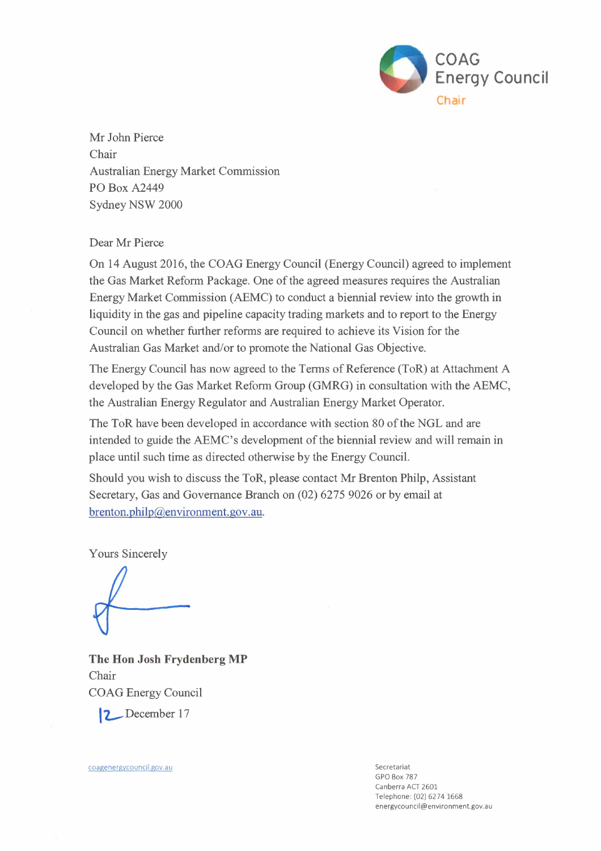

Mr John Pierce Chair Australian Energy Market Commission PO Box A2449 Sydney NSW 2000

#### Dear Mr Pierce

On 14 August 2016, the COAG Energy Council (Energy Council) agreed to implement the Gas Market Reform Package. One of the agreed measures requires the Australian Energy Market Commission (AEMC) to conduct a biennial review into the growth in liquidity in the gas and pipeline capacity trading markets and to report to the Energy Council on whether further reforms are required to achieve its Vision for the Australian Gas Market and/or to promote the National Gas Objective.

The Energy Council has now agreed to the Terms of Reference (ToR) at Attachment A developed by the Gas Market Reform Group (GMRG) in consultation with the AEMC, the Australian Energy Regulator and Australian Energy Market Operator.

The ToR have been developed in accordance with section 80 of the NGL and are intended to guide the AEMC's development of the biennial review and will remain in place until such time as directed otherwise by the Energy Council.

Should you wish to discuss the ToR, please contact Mr Brenton Philp, Assistant Secretary, Gas and Governance Branch on (02) 6275 9026 or by email at brenton.philp@environment.gov.au.

Yours Sincerely

**The Hon Josh Frydenberg MP**  Chair COAG Energy Council

12 December 17

coagenergycouncil.gov.au state of the control of the secretariation of the secretariation of the secretariation of the secretariation of the secretariation of the secretariation of the secretariation of the secretariation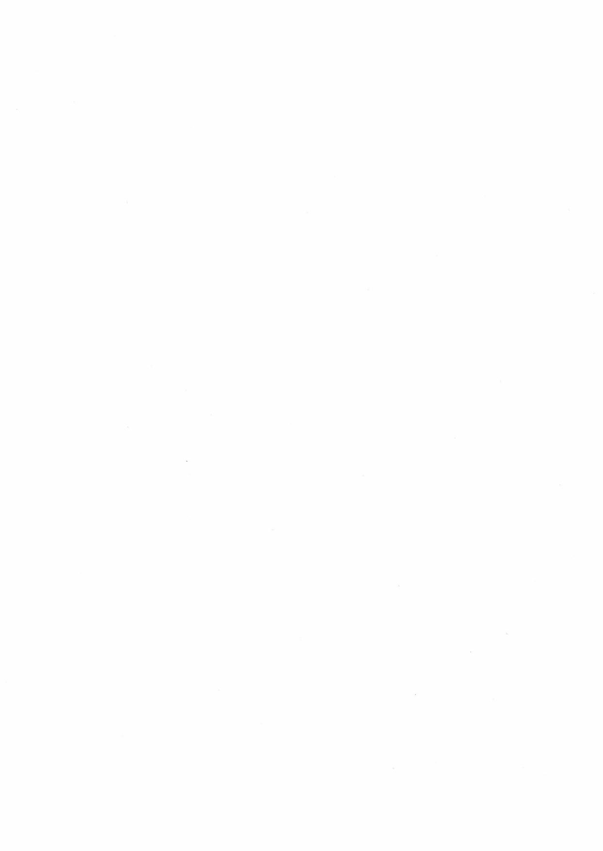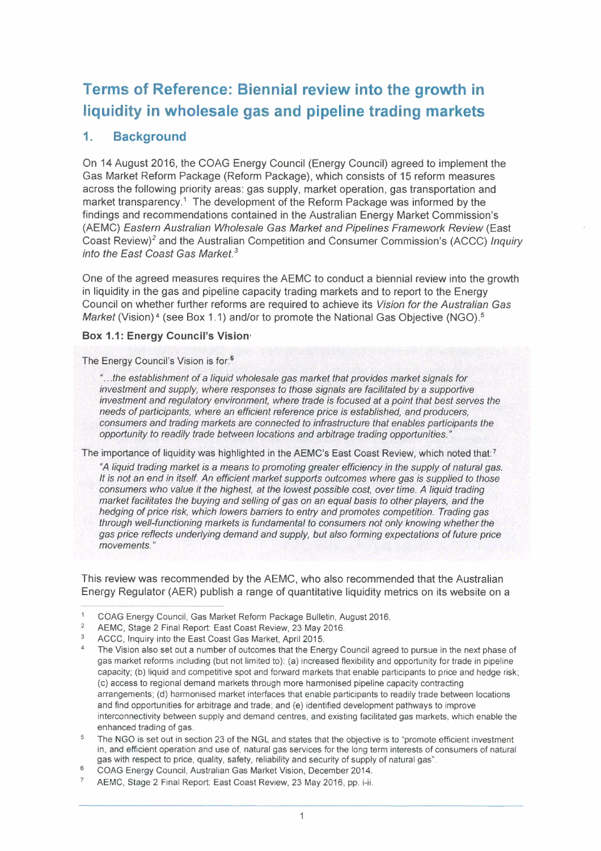# **Terms of Reference: Biennial review into the growth in liquidity in wholesale gas and pipeline trading markets**

## 1. **Background**

On 14 August 2016, the COAG Energy Council (Energy Council) agreed to implement the Gas Market Reform Package (Reform Package), which consists of 15 reform measures across the following priority areas: gas supply, market operation, gas transportation and market transparency.' The development of the Reform Package was informed by the findings and recommendations contained in the Australian Energy Market Commission's (AEMC) *Eastern Australian Wholesale Gas Market and Pipelines Framework Review* (East Coast Review)<sup>2</sup> and the Australian Competition and Consumer Commission's (ACCC) *Inquiry into the East Coast Gas Market.* <sup>3</sup>

One of the agreed measures requires the AEMC to conduct a biennial review into the growth in liquidity in the gas and pipeline capacity trading markets and to report to the Energy Council on whether further reforms are required to achieve its *Vision for the Australian Gas Market* (Vision)<sup>4</sup> (see Box 1.1) and/or to promote the National Gas Objective (NGO).<sup>5</sup>

#### Box 1.1: Energy Council's Vision'

The Energy Council's Vision is for:6

*" ... the establishment of* a *liquid wholesale gas market that provides market signals for investment and supply, where responses to those signals are facilitated by a supportive investment and regulatory environment, where trade is focused at a point that best serves the needs of participants, where an efficient reference price is established, and producers, consumers and trading markets are connected to infrastructure that enables participants the opportunity to readily trade between locations and arbitrage trading opportunities. "* 

The importance of liquidity was highlighted in the AEMC's East Coast Review, which noted that:<sup>7</sup>

*"A liquid trading market is* a *means to promoting greater efficiency in the supply of natural gas. ft is not an end in itself. An efficient market supports outcomes where gas is supplied to those consumers who value it the highest, at the lowest possible cost, over time. A liquid trading market facilitates the buying and selling of gas on an equal basis to other players, and the hedging of price risk, which lowers barriers to entry and promotes competition. Trading gas through well-functioning markets is fundamental to consumers not only knowing whether the gas price reflects underlying demand and supply, but also forming expectations of future price movements. "* 

This review was recommended by the AEMC, who also recommended that the Australian Energy Regulator (AER) publish a range of quantitative liquidity metrics on its website on a

- $\overline{2}$ AEMC, Stage 2 Final Report: East Coast Review, 23 May 2016.
- $\overline{3}$ ACCC, Inquiry into the East Coast Gas Market, April 2015.
- 4 The Vision also set out a number of outcomes that the Energy Council agreed to pursue in the next phase of gas market reforms including (but not limited to): (a) increased flexibility and opportunity for trade in pipeline capacity; (b) liquid and competitive spot and forward markets that enable participants to price and hedge risk; (c) access to regional demand markets through more harmonised pipeline capacity contracting arrangements; (d) harmonised market interfaces that enable participants to readily trade between locations and find opportunities for arbitrage and trade; and (e) identified development pathways to improve interconnectivity between supply and demand centres, and existing facilitated gas markets, which enable the enhanced trading of gas.
- The NGO is set out in section 23 of the NGL and states that the objective is to "promote efficient investment in, and efficient operation and use of, natural gas services for the long term interests of consumers of natural gas with respect to price, quality, safety, reliability and security of supply of natural gas". 5
- COAG Energy Council, Australian Gas Market Vision, December 2014. 6
- AEMC, Stage 2 Final Report: East Coast Review, 23 May 2016, pp. i-ii. 7

 $\mathbf{1}$ COAG Energy Council, Gas Market Reform Package Bulletin, August 2016.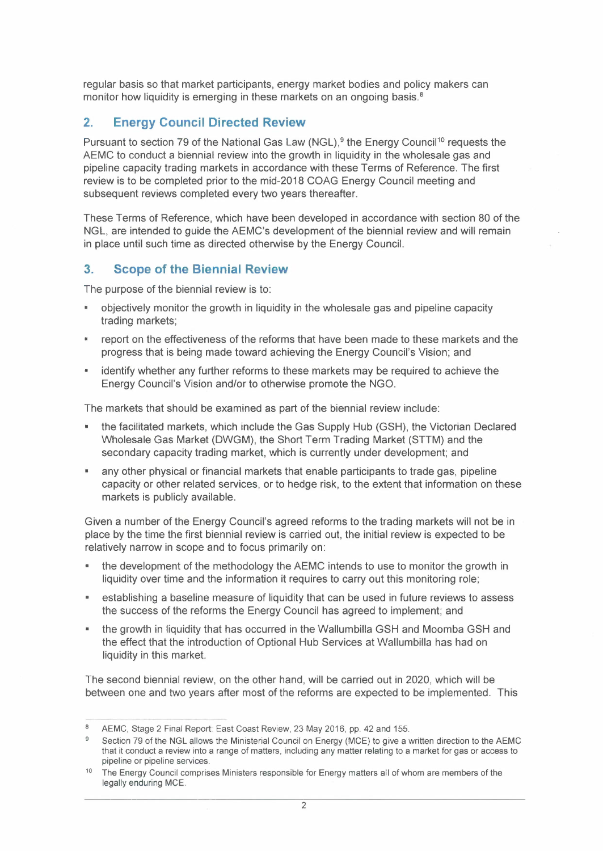regular basis so that market participants, energy market bodies and policy makers can monitor how liquidity is emerging in these markets on an ongoing basis.<sup>8</sup>

# **2. Energy Council Directed Review**

Pursuant to section 79 of the National Gas Law (NGL), $9$  the Energy Council<sup>10</sup> requests the AEMC to conduct a biennial review into the growth in liquidity in the wholesale gas and pipeline capacity trading markets in accordance with these Terms of Reference. The first review is to be completed prior to the mid-2018 COAG Energy Council meeting and subsequent reviews completed every two years thereafter.

These Terms of Reference, which have been developed in accordance with section 80 of the NGL, are intended to guide the AEMC's development of the biennial review and will remain in place until such time as directed otherwise by the Energy Council.

# **3. Scope of the Biennial Review**

The purpose of the biennial review is to:

- objectively monitor the growth in liquidity in the wholesale gas and pipeline capacity trading markets;
- report on the effectiveness of the reforms that have been made to these markets and the progress that is being made toward achieving the Energy Council's Vision; and
- identify whether any further reforms to these markets may be required to achieve the Energy Council's Vision and/or to otherwise promote the NGO.

The markets that should be examined as part of the biennial review include:

- the facilitated markets, which include the Gas Supply Hub (GSH), the Victorian Declared Wholesale Gas Market (DWGM), the Short Term Trading Market (STTM) and the secondary capacity trading market, which is currently under development; and
- any other physical or financial markets that enable participants to trade gas, pipeline capacity or other related services, or to hedge risk, to the extent that information on these markets is publicly available.

Given a number of the Energy Council's agreed reforms to the trading markets will not be in place by the time the first biennial review is carried out, the initial review is expected to be relatively narrow in scope and to focus primarily on:

- the development of the methodology the AEMC intends to use to monitor the growth in liquidity over time and the information it requires to carry out this monitoring role;
- establishing a baseline measure of liquidity that can be used in future reviews to assess the success of the reforms the Energy Council has agreed to implement; and
- the growth in liquidity that has occurred in the Wallumbilla GSH and Moomba GSH and the effect that the introduction of Optional Hub Services at Wallumbilla has had on liquidity in this market.

The second biennial review, on the other hand, will be carried out in 2020, which will be between one and two years after most of the reforms are expected to be implemented. This

AEMC, Stage 2 Final Report: East Coast Review, 23 May 2016, pp. 42 and 155.

Section 79 of the NGL allows the Ministerial Council on Energy (MCE) to give a written direction to the AEMC that it conduct a review into a range of matters, including any matter relating to a market for gas or access to pipeline or pipeline services.

<sup>&</sup>lt;sup>10</sup> The Energy Council comprises Ministers responsible for Energy matters all of whom are members of the legally enduring MCE.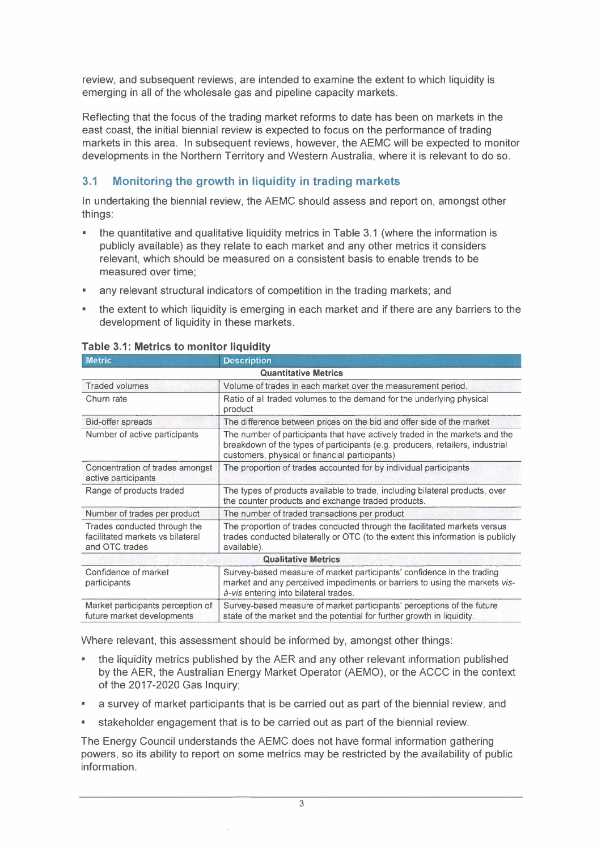review, and subsequent reviews, are intended to examine the extent to which liquidity is emerging in all of the wholesale gas and pipeline capacity markets.

Reflecting that the focus of the trading market reforms to date has been on markets in the east coast, the initial biennial review is expected to focus on the performance of trading markets in this area. In subsequent reviews, however, the AEMC will be expected to monitor developments in the Northern Territory and Western Australia, where it is relevant to do so.

## 3.1 Monitoring the growth in liquidity in trading markets

In undertaking the biennial review, the AEMC should assess and report on, amongst other things:

- the quantitative and qualitative liquidity metrics in Table 3.1 (where the information is publicly available) as they relate to each market and any other metrics it considers relevant, which should be measured on a consistent basis to enable trends to be measured over time;
- any relevant structural indicators of competition in the trading markets; and
- the extent to which liquidity is emerging in each market and if there are any barriers to the development of liquidity in these markets.

| <b>Metric</b>                                                                      | <b>Description</b>                                                                                                                                                                                             |
|------------------------------------------------------------------------------------|----------------------------------------------------------------------------------------------------------------------------------------------------------------------------------------------------------------|
| <b>Quantitative Metrics</b>                                                        |                                                                                                                                                                                                                |
| <b>Traded volumes</b>                                                              | Volume of trades in each market over the measurement period.                                                                                                                                                   |
| Churn rate                                                                         | Ratio of all traded volumes to the demand for the underlying physical<br>product                                                                                                                               |
| Bid-offer spreads                                                                  | The difference between prices on the bid and offer side of the market                                                                                                                                          |
| Number of active participants                                                      | The number of participants that have actively traded in the markets and the<br>breakdown of the types of participants (e.g. producers, retailers, industrial<br>customers, physical or financial participants) |
| Concentration of trades amongst<br>active participants                             | The proportion of trades accounted for by individual participants                                                                                                                                              |
| Range of products traded                                                           | The types of products available to trade, including bilateral products, over<br>the counter products and exchange traded products.                                                                             |
| Number of trades per product                                                       | The number of traded transactions per product                                                                                                                                                                  |
| Trades conducted through the<br>facilitated markets vs bilateral<br>and OTC trades | The proportion of trades conducted through the facilitated markets versus<br>trades conducted bilaterally or OTC (to the extent this information is publicly<br>available).                                    |
| <b>Qualitative Metrics</b>                                                         |                                                                                                                                                                                                                |
| Confidence of market<br>participants                                               | Survey-based measure of market participants' confidence in the trading<br>market and any perceived impediments or barriers to using the markets vis-<br>à-vis entering into bilateral trades.                  |
| Market participants perception of<br>future market developments                    | Survey-based measure of market participants' perceptions of the future<br>state of the market and the potential for further growth in liquidity.                                                               |

#### Table 3.1: Metrics to monitor liquidity

Where relevant, this assessment should be informed by, amongst other things:

- the liquidity metrics published by the AER and any other relevant information published by the AER, the Australian Energy Market Operator (AEMO), or the ACCC in the context of the 2017-2020 Gas Inquiry;
- a survey of market participants that is be carried out as part of the biennial review; and
- stakeholder engagement that is to be carried out as part of the biennial review.

The Energy Council understands the AEMC does not have formal information gathering powers, so its ability to report on some metrics may be restricted by the availability of public information.